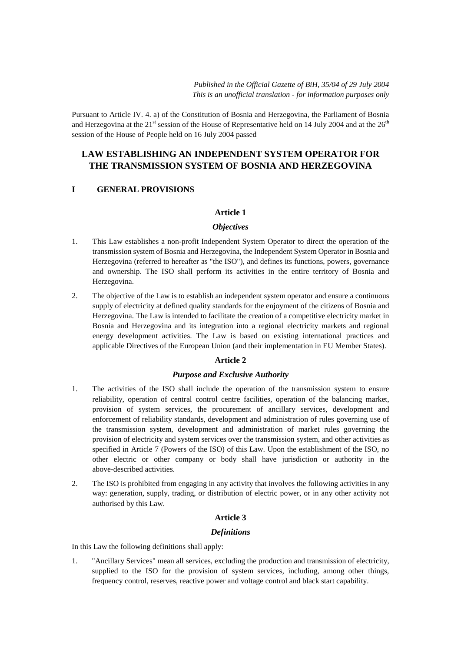Pursuant to Article IV. 4. a) of the Constitution of Bosnia and Herzegovina, the Parliament of Bosnia and Herzegovina at the 21<sup>st</sup> session of the House of Representative held on 14 July 2004 and at the  $26<sup>th</sup>$ session of the House of People held on 16 July 2004 passed

# **LAW ESTABLISHING AN INDEPENDENT SYSTEM OPERATOR FOR THE TRANSMISSION SYSTEM OF BOSNIA AND HERZEGOVINA**

# **I GENERAL PROVISIONS**

## **Article 1**

## *Objectives*

- 1. This Law establishes a non-profit Independent System Operator to direct the operation of the transmission system of Bosnia and Herzegovina, the Independent System Operator in Bosnia and Herzegovina (referred to hereafter as "the ISO"), and defines its functions, powers, governance and ownership. The ISO shall perform its activities in the entire territory of Bosnia and Herzegovina.
- 2. The objective of the Law is to establish an independent system operator and ensure a continuous supply of electricity at defined quality standards for the enjoyment of the citizens of Bosnia and Herzegovina. The Law is intended to facilitate the creation of a competitive electricity market in Bosnia and Herzegovina and its integration into a regional electricity markets and regional energy development activities. The Law is based on existing international practices and applicable Directives of the European Union (and their implementation in EU Member States).

# **Article 2**

# *Purpose and Exclusive Authority*

- 1. The activities of the ISO shall include the operation of the transmission system to ensure reliability, operation of central control centre facilities, operation of the balancing market, provision of system services, the procurement of ancillary services, development and enforcement of reliability standards, development and administration of rules governing use of the transmission system, development and administration of market rules governing the provision of electricity and system services over the transmission system, and other activities as specified in Article 7 (Powers of the ISO) of this Law. Upon the establishment of the ISO, no other electric or other company or body shall have jurisdiction or authority in the above-described activities.
- 2. The ISO is prohibited from engaging in any activity that involves the following activities in any way: generation, supply, trading, or distribution of electric power, or in any other activity not authorised by this Law.

# **Article 3**

### *Definitions*

In this Law the following definitions shall apply:

1. "Ancillary Services" mean all services, excluding the production and transmission of electricity, supplied to the ISO for the provision of system services, including, among other things, frequency control, reserves, reactive power and voltage control and black start capability.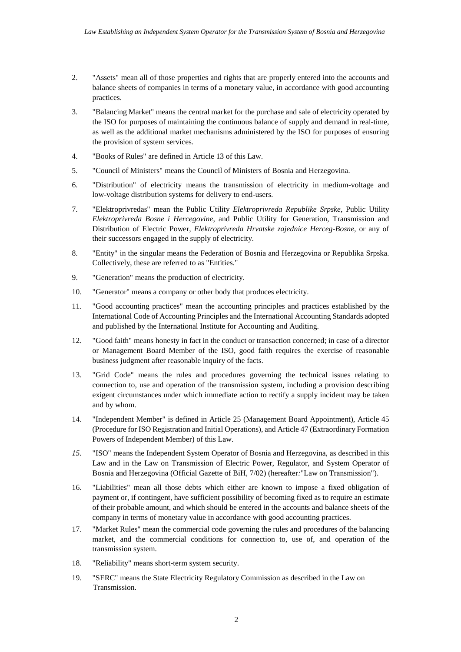- 2. "Assets" mean all of those properties and rights that are properly entered into the accounts and balance sheets of companies in terms of a monetary value, in accordance with good accounting practices.
- 3. "Balancing Market" means the central market for the purchase and sale of electricity operated by the ISO for purposes of maintaining the continuous balance of supply and demand in real-time, as well as the additional market mechanisms administered by the ISO for purposes of ensuring the provision of system services.
- 4. "Books of Rules" are defined in Article 13 of this Law.
- 5. "Council of Ministers" means the Council of Ministers of Bosnia and Herzegovina.
- 6. "Distribution" of electricity means the transmission of electricity in medium-voltage and low-voltage distribution systems for delivery to end-users.
- 7. "Elektroprivredas" mean the Public Utility *Elektroprivreda Republike Srpske*, Public Utility *Elektroprivreda Bosne i Hercegovine*, and Public Utility for Generation, Transmission and Distribution of Electric Power, *Elektroprivreda Hrvatske zajednice Herceg-Bosne*, or any of their successors engaged in the supply of electricity.
- 8. "Entity" in the singular means the Federation of Bosnia and Herzegovina or Republika Srpska. Collectively, these are referred to as "Entities."
- 9. "Generation" means the production of electricity.
- 10. "Generator" means a company or other body that produces electricity.
- 11. "Good accounting practices" mean the accounting principles and practices established by the International Code of Accounting Principles and the International Accounting Standards adopted and published by the International Institute for Accounting and Auditing.
- 12. "Good faith" means honesty in fact in the conduct or transaction concerned; in case of a director or Management Board Member of the ISO, good faith requires the exercise of reasonable business judgment after reasonable inquiry of the facts.
- 13. "Grid Code" means the rules and procedures governing the technical issues relating to connection to, use and operation of the transmission system, including a provision describing exigent circumstances under which immediate action to rectify a supply incident may be taken and by whom.
- 14. "Independent Member" is defined in Article 25 (Management Board Appointment), Article 45 (Procedure for ISO Registration and Initial Operations), and Article 47 (Extraordinary Formation Powers of Independent Member) of this Law.
- *15.* "ISO" means the Independent System Operator of Bosnia and Herzegovina, as described in this Law and in the Law on Transmission of Electric Power, Regulator, and System Operator of Bosnia and Herzegovina (Official Gazette of BiH, 7/02) (hereafter*:* "Law on Transmission").
- 16. "Liabilities" mean all those debts which either are known to impose a fixed obligation of payment or, if contingent, have sufficient possibility of becoming fixed as to require an estimate of their probable amount, and which should be entered in the accounts and balance sheets of the company in terms of monetary value in accordance with good accounting practices.
- 17. "Market Rules" mean the commercial code governing the rules and procedures of the balancing market, and the commercial conditions for connection to, use of, and operation of the transmission system.
- 18. "Reliability" means short-term system security.
- 19. "SERC" means the State Electricity Regulatory Commission as described in the Law on Transmission.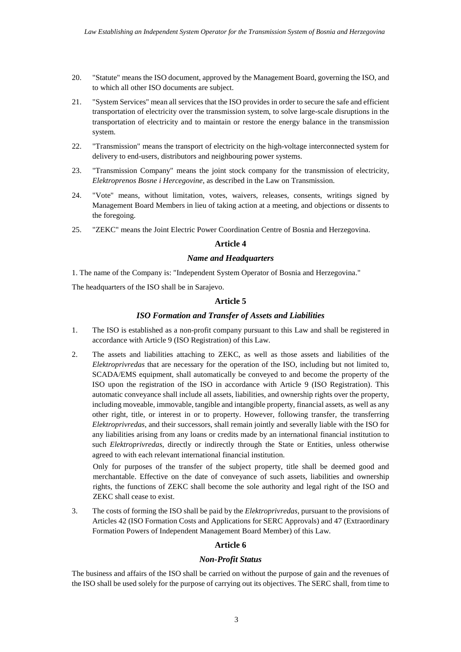- 20. "Statute" means the ISO document, approved by the Management Board, governing the ISO, and to which all other ISO documents are subject.
- 21. "System Services" mean all services that the ISO provides in order to secure the safe and efficient transportation of electricity over the transmission system, to solve large-scale disruptions in the transportation of electricity and to maintain or restore the energy balance in the transmission system.
- 22. "Transmission" means the transport of electricity on the high-voltage interconnected system for delivery to end-users, distributors and neighbouring power systems.
- 23. "Transmission Company" means the joint stock company for the transmission of electricity, *Elektroprenos Bosne i Hercegovine*, as described in the Law on Transmission.
- 24. "Vote" means, without limitation, votes, waivers, releases, consents, writings signed by Management Board Members in lieu of taking action at a meeting, and objections or dissents to the foregoing.
- 25. "ZEKC" means the Joint Electric Power Coordination Centre of Bosnia and Herzegovina.

### **Article 4**

## *Name and Headquarters*

1. The name of the Company is: "Independent System Operator of Bosnia and Herzegovina."

The headquarters of the ISO shall be in Sarajevo.

## **Article 5**

## *ISO Formation and Transfer of Assets and Liabilities*

- 1. The ISO is established as a non-profit company pursuant to this Law and shall be registered in accordance with Article 9 (ISO Registration) of this Law.
- 2. The assets and liabilities attaching to ZEKC, as well as those assets and liabilities of the *Elektroprivredas* that are necessary for the operation of the ISO, including but not limited to, SCADA/EMS equipment, shall automatically be conveyed to and become the property of the ISO upon the registration of the ISO in accordance with Article 9 (ISO Registration). This automatic conveyance shall include all assets, liabilities, and ownership rights over the property, including moveable, immovable, tangible and intangible property, financial assets, as well as any other right, title, or interest in or to property. However, following transfer, the transferring *Elektroprivredas*, and their successors, shall remain jointly and severally liable with the ISO for any liabilities arising from any loans or credits made by an international financial institution to such *Elektroprivredas*, directly or indirectly through the State or Entities, unless otherwise agreed to with each relevant international financial institution.

Only for purposes of the transfer of the subject property, title shall be deemed good and merchantable. Effective on the date of conveyance of such assets, liabilities and ownership rights, the functions of ZEKC shall become the sole authority and legal right of the ISO and ZEKC shall cease to exist.

3. The costs of forming the ISO shall be paid by the *Elektroprivredas*, pursuant to the provisions of Articles 42 (ISO Formation Costs and Applications for SERC Approvals) and 47 (Extraordinary Formation Powers of Independent Management Board Member) of this Law.

# **Article 6**

## *Non-Profit Status*

The business and affairs of the ISO shall be carried on without the purpose of gain and the revenues of the ISO shall be used solely for the purpose of carrying out its objectives. The SERC shall, from time to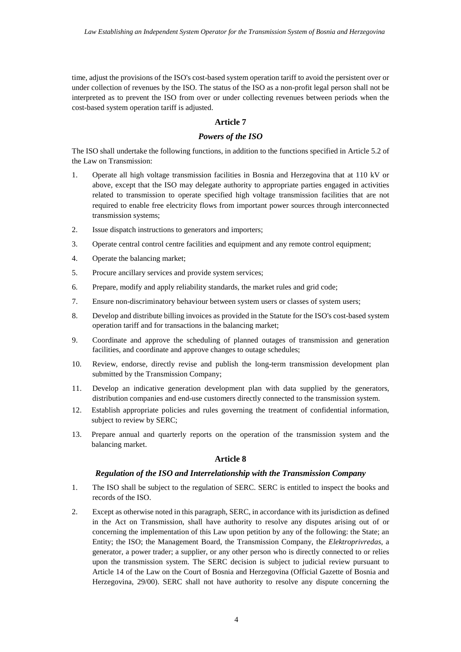time, adjust the provisions of the ISO's cost-based system operation tariff to avoid the persistent over or under collection of revenues by the ISO. The status of the ISO as a non-profit legal person shall not be interpreted as to prevent the ISO from over or under collecting revenues between periods when the cost-based system operation tariff is adjusted.

# **Article 7**

## *Powers of the ISO*

The ISO shall undertake the following functions, in addition to the functions specified in Article 5.2 of the Law on Transmission:

- 1. Operate all high voltage transmission facilities in Bosnia and Herzegovina that at 110 kV or above, except that the ISO may delegate authority to appropriate parties engaged in activities related to transmission to operate specified high voltage transmission facilities that are not required to enable free electricity flows from important power sources through interconnected transmission systems;
- 2. Issue dispatch instructions to generators and importers;
- 3. Operate central control centre facilities and equipment and any remote control equipment;
- 4. Operate the balancing market;
- 5. Procure ancillary services and provide system services;
- 6. Prepare, modify and apply reliability standards, the market rules and grid code;
- 7. Ensure non-discriminatory behaviour between system users or classes of system users;
- 8. Develop and distribute billing invoices as provided in the Statute for the ISO's cost-based system operation tariff and for transactions in the balancing market;
- 9. Coordinate and approve the scheduling of planned outages of transmission and generation facilities, and coordinate and approve changes to outage schedules;
- 10. Review, endorse, directly revise and publish the long-term transmission development plan submitted by the Transmission Company;
- 11. Develop an indicative generation development plan with data supplied by the generators, distribution companies and end-use customers directly connected to the transmission system.
- 12. Establish appropriate policies and rules governing the treatment of confidential information, subject to review by SERC:
- 13. Prepare annual and quarterly reports on the operation of the transmission system and the balancing market.

### **Article 8**

### *Regulation of the ISO and Interrelationship with the Transmission Company*

- 1. The ISO shall be subject to the regulation of SERC. SERC is entitled to inspect the books and records of the ISO.
- 2. Except as otherwise noted in this paragraph, SERC, in accordance with its jurisdiction as defined in the Act on Transmission, shall have authority to resolve any disputes arising out of or concerning the implementation of this Law upon petition by any of the following: the State; an Entity; the ISO; the Management Board, the Transmission Company, the *Elektroprivredas*, a generator, a power trader; a supplier, or any other person who is directly connected to or relies upon the transmission system. The SERC decision is subject to judicial review pursuant to Article 14 of the Law on the Court of Bosnia and Herzegovina (Official Gazette of Bosnia and Herzegovina, 29/00). SERC shall not have authority to resolve any dispute concerning the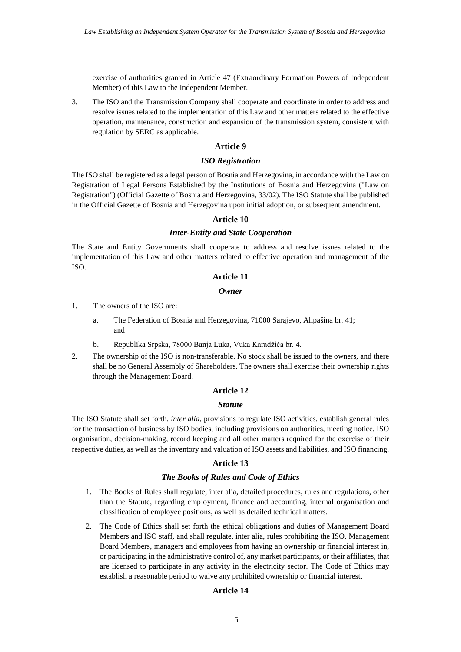exercise of authorities granted in Article 47 (Extraordinary Formation Powers of Independent Member) of this Law to the Independent Member.

3. The ISO and the Transmission Company shall cooperate and coordinate in order to address and resolve issues related to the implementation of this Law and other matters related to the effective operation, maintenance, construction and expansion of the transmission system, consistent with regulation by SERC as applicable.

### **Article 9**

#### *ISO Registration*

The ISO shall be registered as a legal person of Bosnia and Herzegovina, in accordance with the Law on Registration of Legal Persons Established by the Institutions of Bosnia and Herzegovina ("Law on Registration") (Official Gazette of Bosnia and Herzegovina, 33/02). The ISO Statute shall be published in the Official Gazette of Bosnia and Herzegovina upon initial adoption, or subsequent amendment.

### **Article 10**

#### *Inter-Entity and State Cooperation*

The State and Entity Governments shall cooperate to address and resolve issues related to the implementation of this Law and other matters related to effective operation and management of the ISO.

## **Article 11**

#### *Owner*

- 1. The owners of the ISO are:
	- a. The Federation of Bosnia and Herzegovina, 71000 Sarajevo, Alipašina br. 41; and
	- b. Republika Srpska, 78000 Banja Luka, Vuka Karadžića br. 4.
- 2. The ownership of the ISO is non-transferable. No stock shall be issued to the owners, and there shall be no General Assembly of Shareholders. The owners shall exercise their ownership rights through the Management Board.

#### **Article 12**

#### *Statute*

The ISO Statute shall set forth, *inter alia,* provisions to regulate ISO activities, establish general rules for the transaction of business by ISO bodies, including provisions on authorities, meeting notice, ISO organisation, decision-making, record keeping and all other matters required for the exercise of their respective duties, as well as the inventory and valuation of ISO assets and liabilities, and ISO financing.

#### **Article 13**

### *The Books of Rules and Code of Ethics*

- 1. The Books of Rules shall regulate, inter alia, detailed procedures, rules and regulations, other than the Statute, regarding employment, finance and accounting, internal organisation and classification of employee positions, as well as detailed technical matters.
- 2. The Code of Ethics shall set forth the ethical obligations and duties of Management Board Members and ISO staff, and shall regulate, inter alia, rules prohibiting the ISO, Management Board Members, managers and employees from having an ownership or financial interest in, or participating in the administrative control of, any market participants, or their affiliates, that are licensed to participate in any activity in the electricity sector. The Code of Ethics may establish a reasonable period to waive any prohibited ownership or financial interest.

## **Article 14**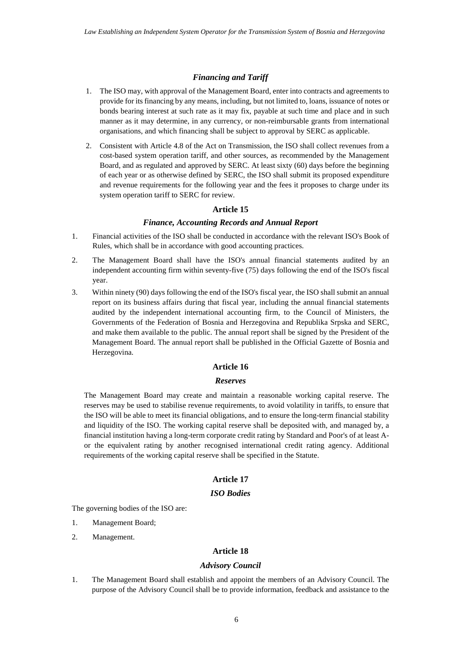## *Financing and Tariff*

- 1. The ISO may, with approval of the Management Board, enter into contracts and agreements to provide for its financing by any means, including, but not limited to, loans, issuance of notes or bonds bearing interest at such rate as it may fix, payable at such time and place and in such manner as it may determine, in any currency, or non-reimbursable grants from international organisations, and which financing shall be subject to approval by SERC as applicable.
- 2. Consistent with Article 4.8 of the Act on Transmission, the ISO shall collect revenues from a cost-based system operation tariff, and other sources, as recommended by the Management Board, and as regulated and approved by SERC. At least sixty (60) days before the beginning of each year or as otherwise defined by SERC, the ISO shall submit its proposed expenditure and revenue requirements for the following year and the fees it proposes to charge under its system operation tariff to SERC for review.

### **Article 15**

#### *Finance, Accounting Records and Annual Report*

- 1. Financial activities of the ISO shall be conducted in accordance with the relevant ISO's Book of Rules, which shall be in accordance with good accounting practices.
- 2. The Management Board shall have the ISO's annual financial statements audited by an independent accounting firm within seventy-five (75) days following the end of the ISO's fiscal year.
- 3. Within ninety (90) days following the end of the ISO's fiscal year, the ISO shall submit an annual report on its business affairs during that fiscal year, including the annual financial statements audited by the independent international accounting firm, to the Council of Ministers, the Governments of the Federation of Bosnia and Herzegovina and Republika Srpska and SERC, and make them available to the public. The annual report shall be signed by the President of the Management Board. The annual report shall be published in the Official Gazette of Bosnia and Herzegovina.

### **Article 16**

#### *Reserves*

The Management Board may create and maintain a reasonable working capital reserve. The reserves may be used to stabilise revenue requirements, to avoid volatility in tariffs, to ensure that the ISO will be able to meet its financial obligations, and to ensure the long-term financial stability and liquidity of the ISO. The working capital reserve shall be deposited with, and managed by, a financial institution having a long-term corporate credit rating by Standard and Poor's of at least Aor the equivalent rating by another recognised international credit rating agency. Additional requirements of the working capital reserve shall be specified in the Statute.

# **Article 17**

## *ISO Bodies*

The governing bodies of the ISO are:

- 1. Management Board;
- 2. Management.

#### **Article 18**

## *Advisory Council*

1. The Management Board shall establish and appoint the members of an Advisory Council. The purpose of the Advisory Council shall be to provide information, feedback and assistance to the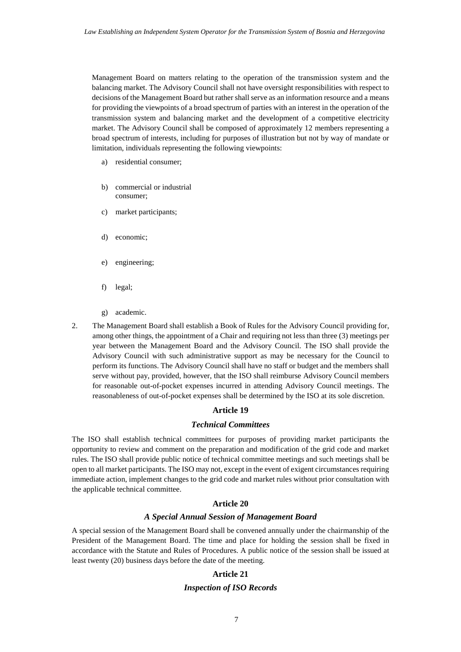Management Board on matters relating to the operation of the transmission system and the balancing market. The Advisory Council shall not have oversight responsibilities with respect to decisions of the Management Board but rather shall serve as an information resource and a means for providing the viewpoints of a broad spectrum of parties with an interest in the operation of the transmission system and balancing market and the development of a competitive electricity market. The Advisory Council shall be composed of approximately 12 members representing a broad spectrum of interests, including for purposes of illustration but not by way of mandate or limitation, individuals representing the following viewpoints:

- a) residential consumer;
- b) commercial or industrial consumer;
- c) market participants;
- d) economic;
- e) engineering;
- f) legal;
- g) academic.
- 2. The Management Board shall establish a Book of Rules for the Advisory Council providing for, among other things, the appointment of a Chair and requiring not less than three (3) meetings per year between the Management Board and the Advisory Council. The ISO shall provide the Advisory Council with such administrative support as may be necessary for the Council to perform its functions. The Advisory Council shall have no staff or budget and the members shall serve without pay, provided, however, that the ISO shall reimburse Advisory Council members for reasonable out-of-pocket expenses incurred in attending Advisory Council meetings. The reasonableness of out-of-pocket expenses shall be determined by the ISO at its sole discretion.

#### **Article 19**

#### *Technical Committees*

The ISO shall establish technical committees for purposes of providing market participants the opportunity to review and comment on the preparation and modification of the grid code and market rules. The ISO shall provide public notice of technical committee meetings and such meetings shall be open to all market participants. The ISO may not, except in the event of exigent circumstances requiring immediate action, implement changes to the grid code and market rules without prior consultation with the applicable technical committee.

# **Article 20**

### *A Special Annual Session of Management Board*

A special session of the Management Board shall be convened annually under the chairmanship of the President of the Management Board. The time and place for holding the session shall be fixed in accordance with the Statute and Rules of Procedures. A public notice of the session shall be issued at least twenty (20) business days before the date of the meeting.

# **Article 21**

#### *Inspection of ISO Records*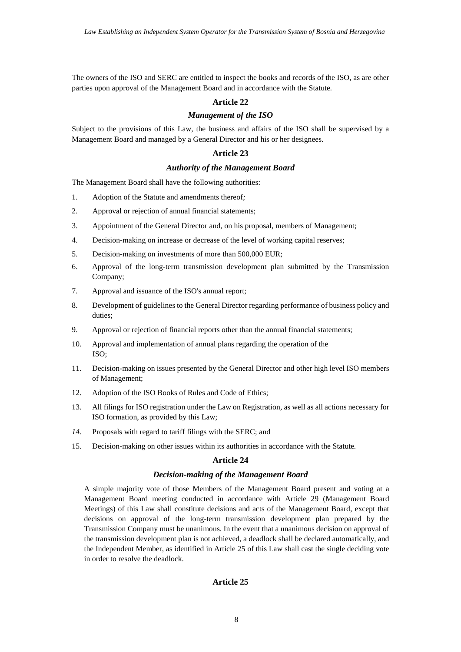The owners of the ISO and SERC are entitled to inspect the books and records of the ISO, as are other parties upon approval of the Management Board and in accordance with the Statute*.*

#### **Article 22**

## *Management of the ISO*

Subject to the provisions of this Law, the business and affairs of the ISO shall be supervised by a Management Board and managed by a General Director and his or her designees.

#### **Article 23**

## *Authority of the Management Board*

The Management Board shall have the following authorities:

- 1. Adoption of the Statute and amendments thereof *;*
- 2. Approval or rejection of annual financial statements;
- 3. Appointment of the General Director and, on his proposal, members of Management;
- 4. Decision-making on increase or decrease of the level of working capital reserves;
- 5. Decision-making on investments of more than 500,000 EUR;
- 6. Approval of the long-term transmission development plan submitted by the Transmission Company;
- 7. Approval and issuance of the ISO's annual report;
- 8. Development of guidelines to the General Director regarding performance of business policy and duties;
- 9. Approval or rejection of financial reports other than the annual financial statements;
- 10. Approval and implementation of annual plans regarding the operation of the ISO;
- 11. Decision-making on issues presented by the General Director and other high level ISO members of Management;
- 12. Adoption of the ISO Books of Rules and Code of Ethics;
- 13. All filings for ISO registration under the Law on Registration*,*  as well as all actions necessary for ISO formation, as provided by this Law;
- *14.* Proposals with regard to tariff filings with the SERC; and
- 15. Decision-making on other issues within its authorities in accordance with the Statute*.*

#### **Article 24**

#### *Decision-making of the Management Board*

A simple majority vote of those Members of the Management Board present and voting at a Management Board meeting conducted in accordance with Article 29 (Management Board Meetings) of this Law shall constitute decisions and acts of the Management Board, except that decisions on approval of the long-term transmission development plan prepared by the Transmission Company must be unanimous. In the event that a unanimous decision on approval of the transmission development plan is not achieved, a deadlock shall be declared automatically, and the Independent Member, as identified in Article 25 of this Law shall cast the single deciding vote in order to resolve the deadlock.

#### **Article 25**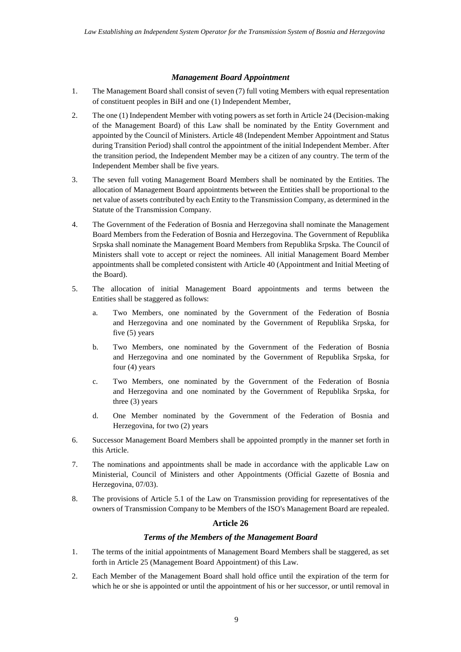## *Management Board Appointment*

- 1. The Management Board shall consist of seven (7) full voting Members with equal representation of constituent peoples in BiH and one (1) Independent Member,
- 2. The one (1) Independent Member with voting powers as set forth in Article 24 (Decision-making of the Management Board) of this Law shall be nominated by the Entity Government and appointed by the Council of Ministers. Article 48 (Independent Member Appointment and Status during Transition Period) shall control the appointment of the initial Independent Member. After the transition period, the Independent Member may be a citizen of any country. The term of the Independent Member shall be five years.
- 3. The seven full voting Management Board Members shall be nominated by the Entities. The allocation of Management Board appointments between the Entities shall be proportional to the net value of assets contributed by each Entity to the Transmission Company, as determined in the Statute of the Transmission Company.
- 4. The Government of the Federation of Bosnia and Herzegovina shall nominate the Management Board Members from the Federation of Bosnia and Herzegovina. The Government of Republika Srpska shall nominate the Management Board Members from Republika Srpska. The Council of Ministers shall vote to accept or reject the nominees. All initial Management Board Member appointments shall be completed consistent with Article 40 (Appointment and Initial Meeting of the Board).
- 5. The allocation of initial Management Board appointments and terms between the Entities shall be staggered as follows:
	- a. Two Members, one nominated by the Government of the Federation of Bosnia and Herzegovina and one nominated by the Government of Republika Srpska, for five (5) years
	- b. Two Members, one nominated by the Government of the Federation of Bosnia and Herzegovina and one nominated by the Government of Republika Srpska, for four (4) years
	- c. Two Members, one nominated by the Government of the Federation of Bosnia and Herzegovina and one nominated by the Government of Republika Srpska, for three (3) years
	- d. One Member nominated by the Government of the Federation of Bosnia and Herzegovina, for two (2) years
- 6. Successor Management Board Members shall be appointed promptly in the manner set forth in this Article.
- 7. The nominations and appointments shall be made in accordance with the applicable Law on Ministerial, Council of Ministers and other Appointments (Official Gazette of Bosnia and Herzegovina, 07/03).
- 8. The provisions of Article 5.1 of the Law on Transmission providing for representatives of the owners of Transmission Company to be Members of the ISO's Management Board are repealed.

# **Article 26**

## *Terms of the Members of the Management Board*

- 1. The terms of the initial appointments of Management Board Members shall be staggered, as set forth in Article 25 (Management Board Appointment) of this Law.
- 2. Each Member of the Management Board shall hold office until the expiration of the term for which he or she is appointed or until the appointment of his or her successor, or until removal in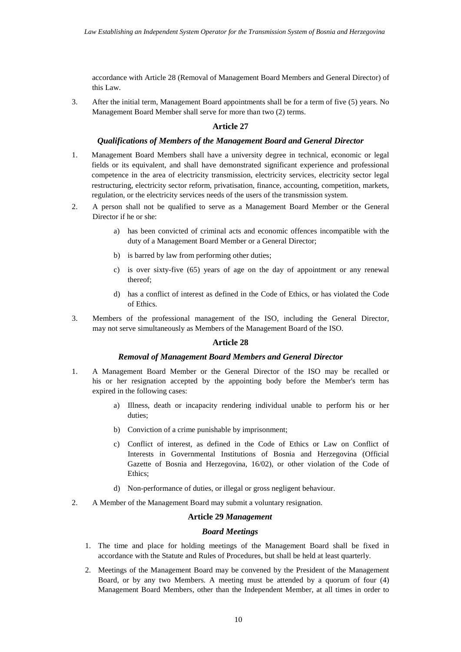accordance with Article 28 (Removal of Management Board Members and General Director) of this Law.

3. After the initial term, Management Board appointments shall be for a term of five (5) years. No Management Board Member shall serve for more than two (2) terms.

## **Article 27**

### *Qualifications of Members of the Management Board and General Director*

- 1. Management Board Members shall have a university degree in technical, economic or legal fields or its equivalent, and shall have demonstrated significant experience and professional competence in the area of electricity transmission, electricity services, electricity sector legal restructuring, electricity sector reform, privatisation, finance, accounting, competition, markets, regulation, or the electricity services needs of the users of the transmission system.
- 2. A person shall not be qualified to serve as a Management Board Member or the General Director if he or she:
	- a) has been convicted of criminal acts and economic offences incompatible with the duty of a Management Board Member or a General Director;
	- b) is barred by law from performing other duties;
	- c) is over sixty-five (65) years of age on the day of appointment or any renewal thereof;
	- d) has a conflict of interest as defined in the Code of Ethics, or has violated the Code of Ethics.
- 3. Members of the professional management of the ISO, including the General Director, may not serve simultaneously as Members of the Management Board of the ISO.

### **Article 28**

## *Removal of Management Board Members and General Director*

- 1. A Management Board Member or the General Director of the ISO may be recalled or his or her resignation accepted by the appointing body before the Member's term has expired in the following cases:
	- a) Illness, death or incapacity rendering individual unable to perform his or her duties;
	- b) Conviction of a crime punishable by imprisonment;
	- c) Conflict of interest, as defined in the Code of Ethics or Law on Conflict of Interests in Governmental Institutions of Bosnia and Herzegovina (Official Gazette of Bosnia and Herzegovina, 16/02), or other violation of the Code of Ethics;
	- d) Non-performance of duties, or illegal or gross negligent behaviour.
- 2. A Member of the Management Board may submit a voluntary resignation.

## **Article 29**  *Management*

# *Board Meetings*

- 1. The time and place for holding meetings of the Management Board shall be fixed in accordance with the Statute and Rules of Procedures, but shall be held at least quarterly.
- 2. Meetings of the Management Board may be convened by the President of the Management Board, or by any two Members. A meeting must be attended by a quorum of four (4) Management Board Members, other than the Independent Member, at all times in order to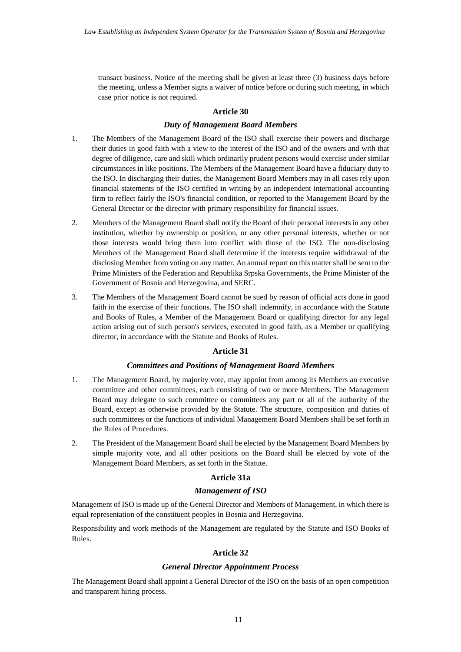transact business. Notice of the meeting shall be given at least three (3) business days before the meeting, unless a Member signs a waiver of notice before or during such meeting, in which case prior notice is not required.

#### **Article 30**

### *Duty of Management Board Members*

- 1. The Members of the Management Board of the ISO shall exercise their powers and discharge their duties in good faith with a view to the interest of the ISO and of the owners and with that degree of diligence, care and skill which ordinarily prudent persons would exercise under similar circumstances in like positions. The Members of the Management Board have a fiduciary duty to the ISO. In discharging their duties, the Management Board Members may in all cases rely upon financial statements of the ISO certified in writing by an independent international accounting firm to reflect fairly the ISO's financial condition, or reported to the Management Board by the General Director or the director with primary responsibility for financial issues.
- 2. Members of the Management Board shall notify the Board of their personal interests in any other institution, whether by ownership or position, or any other personal interests, whether or not those interests would bring them into conflict with those of the ISO. The non-disclosing Members of the Management Board shall determine if the interests require withdrawal of the disclosing Member from voting on any matter. An annual report on this matter shall be sent to the Prime Ministers of the Federation and Republika Srpska Governments, the Prime Minister of the Government of Bosnia and Herzegovina, and SERC.
- 3. The Members of the Management Board cannot be sued by reason of official acts done in good faith in the exercise of their functions. The ISO shall indemnify, in accordance with the Statute and Books of Rules, a Member of the Management Board or qualifying director for any legal action arising out of such person's services, executed in good faith, as a Member or qualifying director, in accordance with the Statute and Books of Rules.

#### **Article 31**

## *Committees and Positions of Management Board Members*

- 1. The Management Board, by majority vote, may appoint from among its Members an executive committee and other committees, each consisting of two or more Members. The Management Board may delegate to such committee or committees any part or all of the authority of the Board, except as otherwise provided by the Statute. The structure, composition and duties of such committees or the functions of individual Management Board Members shall be set forth in the Rules of Procedures.
- 2. The President of the Management Board shall be elected by the Management Board Members by simple majority vote, and all other positions on the Board shall be elected by vote of the Management Board Members, as set forth in the Statute.

#### **Article 31a**

#### *Management of ISO*

Management of ISO is made up of the General Director and Members of Management, in which there is equal representation of the constituent peoples in Bosnia and Herzegovina.

Responsibility and work methods of the Management are regulated by the Statute and ISO Books of Rules.

#### **Article 32**

#### *General Director Appointment Process*

The Management Board shall appoint a General Director of the ISO on the basis of an open competition and transparent hiring process.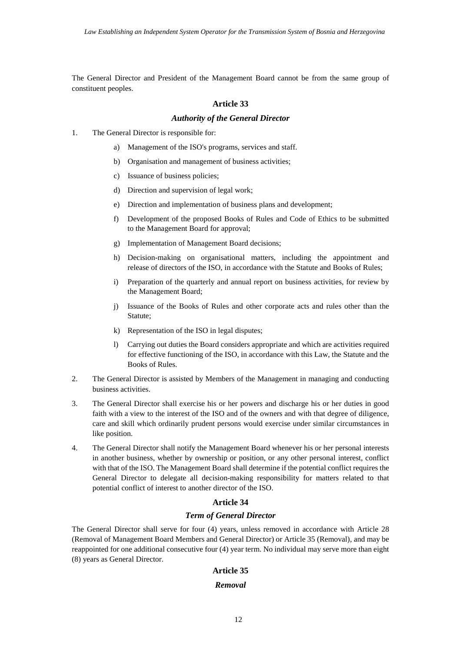The General Director and President of the Management Board cannot be from the same group of constituent peoples.

#### **Article 33**

#### *Authority of the General Director*

- 1. The General Director is responsible for:
	- a) Management of the ISO's programs, services and staff.
	- b) Organisation and management of business activities;
	- c) Issuance of business policies;
	- d) Direction and supervision of legal work;
	- e) Direction and implementation of business plans and development;
	- f) Development of the proposed Books of Rules and Code of Ethics to be submitted to the Management Board for approval;
	- g) Implementation of Management Board decisions;
	- h) Decision-making on organisational matters, including the appointment and release of directors of the ISO, in accordance with the Statute and Books of Rules;
	- i) Preparation of the quarterly and annual report on business activities, for review by the Management Board;
	- j) Issuance of the Books of Rules and other corporate acts and rules other than the Statute;
	- k) Representation of the ISO in legal disputes;
	- $\mathbf{I}$ Carrying out duties the Board considers appropriate and which are activities required for effective functioning of the ISO, in accordance with this Law, the Statute and the Books of Rules.
- $2^{\circ}$ The General Director is assisted by Members of the Management in managing and conducting business activities.
- 3. The General Director shall exercise his or her powers and discharge his or her duties in good faith with a view to the interest of the ISO and of the owners and with that degree of diligence, care and skill which ordinarily prudent persons would exercise under similar circumstances in like position.
- 4. The General Director shall notify the Management Board whenever his or her personal interests in another business, whether by ownership or position, or any other personal interest, conflict with that of the ISO. The Management Board shall determine if the potential conflict requires the General Director to delegate all decision-making responsibility for matters related to that potential conflict of interest to another director of the ISO.

### **Article 34**

## *Term of General Director*

The General Director shall serve for four (4) years, unless removed in accordance with Article 28 (Removal of Management Board Members and General Director) or Article 35 (Removal), and may be reappointed for one additional consecutive four (4) year term. No individual may serve more than eight (8) years as General Director.

#### **Article 35**

#### *Removal*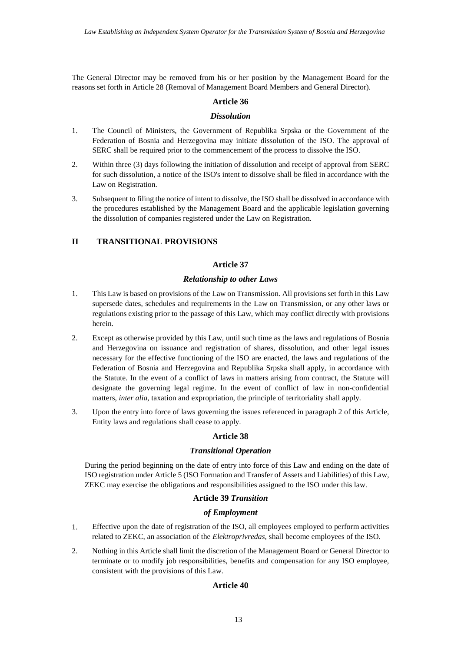The General Director may be removed from his or her position by the Management Board for the reasons set forth in Article 28 (Removal of Management Board Members and General Director).

## **Article 36**

## *Dissolution*

- 1. The Council of Ministers, the Government of Republika Srpska or the Government of the Federation of Bosnia and Herzegovina may initiate dissolution of the ISO. The approval of SERC shall be required prior to the commencement of the process to dissolve the ISO.
- 2. Within three (3) days following the initiation of dissolution and receipt of approval from SERC for such dissolution, a notice of the ISO's intent to dissolve shall be filed in accordance with the Law on Registration.
- 3. Subsequent to filing the notice of intent to dissolve, the ISO shall be dissolved in accordance with the procedures established by the Management Board and the applicable legislation governing the dissolution of companies registered under the Law on Registration.

# **II TRANSITIONAL PROVISIONS**

## **Article 37**

## *Relationship to other Laws*

- 1. This Law is based on provisions of the Law on Transmission*.* All provisions set forth in this Law supersede dates, schedules and requirements in the Law on Transmission*,*  or any other laws or regulations existing prior to the passage of this Law, which may conflict directly with provisions herein.
- 2. Except as otherwise provided by this Law, until such time as the laws and regulations of Bosnia and Herzegovina on issuance and registration of shares, dissolution, and other legal issues necessary for the effective functioning of the ISO are enacted, the laws and regulations of the Federation of Bosnia and Herzegovina and Republika Srpska shall apply, in accordance with the Statute*.* In the event of a conflict of laws in matters arising from contract, the Statute will designate the governing legal regime. In the event of conflict of law in non-confidential matters, *inter alia*, taxation and expropriation, the principle of territoriality shall apply.
- 3. Upon the entry into force of laws governing the issues referenced in paragraph 2 of this Article, Entity laws and regulations shall cease to apply.

# **Article 38**

### *Transitional Operation*

During the period beginning on the date of entry into force of this Law and ending on the date of ISO registration under Article 5 (ISO Formation and Transfer of Assets and Liabilities) of this Law, ZEKC may exercise the obligations and responsibilities assigned to the ISO under this law.

## **Article 39**  *Transition*

# *of Employment*

- 1. Effective upon the date of registration of the ISO, all employees employed to perform activities related to ZEKC, an association of the *Elektroprivredas*, shall become employees of the ISO.
- 2. Nothing in this Article shall limit the discretion of the Management Board or General Director to terminate or to modify job responsibilities, benefits and compensation for any ISO employee, consistent with the provisions of this Law.

### **Article 40**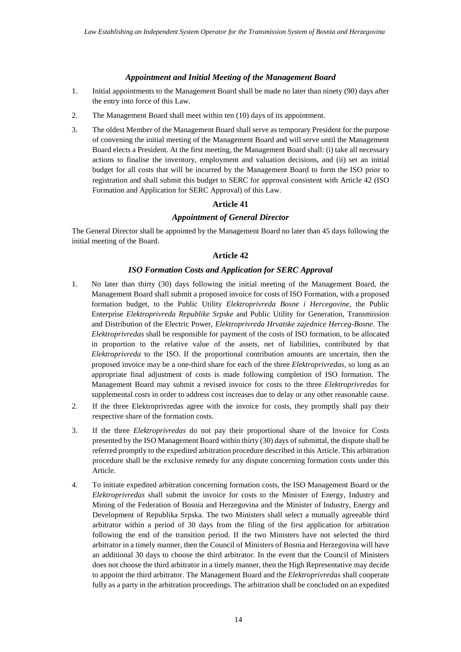# *Appointment and Initial Meeting of the Management Board*

- 1. Initial appointments to the Management Board shall be made no later than ninety (90) days after the entry into force of this Law.
- 2. The Management Board shall meet within ten (10) days of its appointment.
- 3. The oldest Member of the Management Board shall serve as temporary President for the purpose of convening the initial meeting of the Management Board and will serve until the Management Board elects a President. At the first meeting, the Management Board shall: (i) take all necessary actions to finalise the inventory, employment and valuation decisions, and (ii) set an initial budget for all costs that will be incurred by the Management Board to form the ISO prior to registration and shall submit this budget to SERC for approval consistent with Article 42 (ISO Formation and Application for SERC Approval) of this Law.

# **Article 41**

# *Appointment of General Director*

The General Director shall be appointed by the Management Board no later than 45 days following the initial meeting of the Board.

# **Article 42**

# *ISO Formation Costs and Application for SERC Approval*

- 1. No later than thirty (30) days following the initial meeting of the Management Board, the Management Board shall submit a proposed invoice for costs of ISO Formation, with a proposed formation budget, to the Public Utility *Elektroprivreda Bosne i Hercegovine*, the Public Enterprise *Elektroprivreda Republike Srpske* and Public Utility for Generation, Transmission and Distribution of the Electric Power, *Elektroprivreda Hrvatske zajednice Herceg-Bosne*. The *Elektroprivredas* shall be responsible for payment of the costs of ISO formation, to be allocated in proportion to the relative value of the assets, net of liabilities, contributed by that *Elektroprivreda* to the ISO. If the proportional contribution amounts are uncertain, then the proposed invoice may be a one-third share for each of the three *Elektroprivredas*, so long as an appropriate final adjustment of costs is made following completion of ISO formation. The Management Board may submit a revised invoice for costs to the three *Elektroprivredas* for supplemental costs in order to address cost increases due to delay or any other reasonable cause.
- 2. If the three Elektroprivredas agree with the invoice for costs, they promptly shall pay their respective share of the formation costs.
- 3. If the three *Elektroprivredas* do not pay their proportional share of the Invoice for Costs presented by the ISO Management Board within thirty (30) days of submittal, the dispute shall be referred promptly to the expedited arbitration procedure described in this Article. This arbitration procedure shall be the exclusive remedy for any dispute concerning formation costs under this Article.
- 4. To initiate expedited arbitration concerning formation costs, the ISO Management Board or the *Elektroprivredas* shall submit the invoice for costs to the Minister of Energy, Industry and Mining of the Federation of Bosnia and Herzegovina and the Minister of Industry, Energy and Development of Republika Srpska. The two Ministers shall select a mutually agreeable third arbitrator within a period of 30 days from the filing of the first application for arbitration following the end of the transition period. If the two Ministers have not selected the third arbitrator in a timely manner, then the Council of Ministers of Bosnia and Herzegovina will have an additional 30 days to choose the third arbitrator. In the event that the Council of Ministers does not choose the third arbitrator in a timely manner, then the High Representative may decide to appoint the third arbitrator. The Management Board and the *Elektroprivredas* shall cooperate fully as a party in the arbitration proceedings. The arbitration shall be concluded on an expedited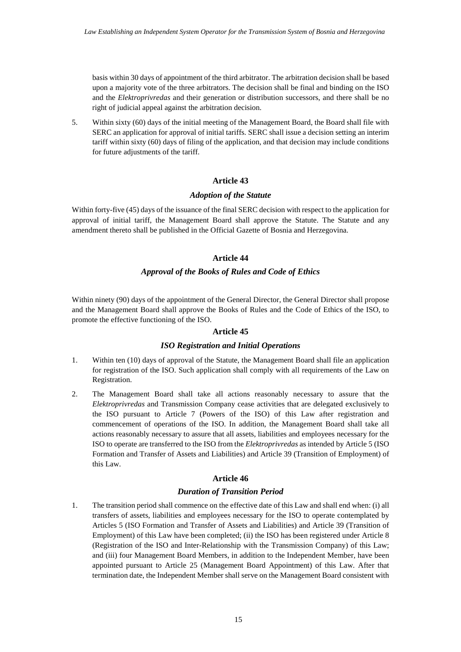basis within 30 days of appointment of the third arbitrator. The arbitration decision shall be based upon a majority vote of the three arbitrators. The decision shall be final and binding on the ISO and the *Elektroprivredas* and their generation or distribution successors, and there shall be no right of judicial appeal against the arbitration decision.

5. Within sixty (60) days of the initial meeting of the Management Board, the Board shall file with SERC an application for approval of initial tariffs. SERC shall issue a decision setting an interim tariff within sixty (60) days of filing of the application, and that decision may include conditions for future adjustments of the tariff.

# **Article 43**

## *Adoption of the Statute*

Within forty-five (45) days of the issuance of the final SERC decision with respect to the application for approval of initial tariff, the Management Board shall approve the Statute. The Statute and any amendment thereto shall be published in the Official Gazette of Bosnia and Herzegovina.

# **Article 44**

# *Approval of the Books of Rules and Code of Ethics*

Within ninety (90) days of the appointment of the General Director, the General Director shall propose and the Management Board shall approve the Books of Rules and the Code of Ethics of the ISO, to promote the effective functioning of the ISO.

# **Article 45**

# *ISO Registration and Initial Operations*

- 1. Within ten (10) days of approval of the Statute, the Management Board shall file an application for registration of the ISO. Such application shall comply with all requirements of the Law on Registration.
- 2. The Management Board shall take all actions reasonably necessary to assure that the *Elektroprivredas* and Transmission Company cease activities that are delegated exclusively to the ISO pursuant to Article 7 (Powers of the ISO) of this Law after registration and commencement of operations of the ISO. In addition, the Management Board shall take all actions reasonably necessary to assure that all assets, liabilities and employees necessary for the ISO to operate are transferred to the ISO from the *Elektroprivredas* as intended by Article 5 (ISO Formation and Transfer of Assets and Liabilities) and Article 39 (Transition of Employment) of this Law.

# **Article 46**

# *Duration of Transition Period*

1. The transition period shall commence on the effective date of this Law and shall end when: (i) all transfers of assets, liabilities and employees necessary for the ISO to operate contemplated by Articles 5 (ISO Formation and Transfer of Assets and Liabilities) and Article 39 (Transition of Employment) of this Law have been completed; (ii) the ISO has been registered under Article 8 (Registration of the ISO and Inter-Relationship with the Transmission Company) of this Law; and (iii) four Management Board Members, in addition to the Independent Member, have been appointed pursuant to Article 25 (Management Board Appointment) of this Law. After that termination date, the Independent Member shall serve on the Management Board consistent with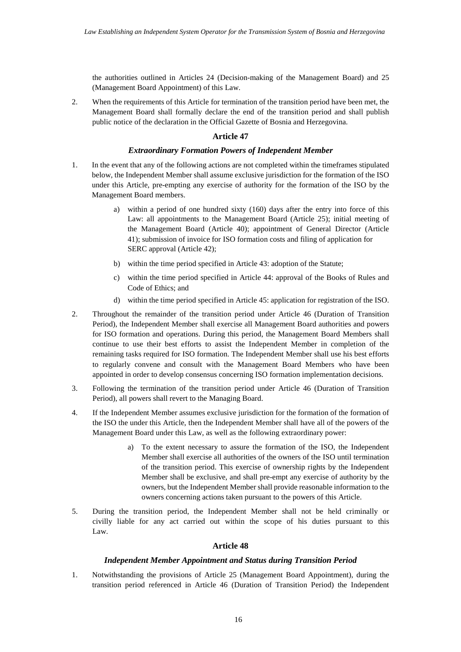the authorities outlined in Articles 24 (Decision-making of the Management Board) and 25 (Management Board Appointment) of this Law.

2. When the requirements of this Article for termination of the transition period have been met, the Management Board shall formally declare the end of the transition period and shall publish public notice of the declaration in the Official Gazette of Bosnia and Herzegovina.

## **Article 47**

## *Extraordinary Formation Powers of Independent Member*

- 1. In the event that any of the following actions are not completed within the timeframes stipulated below, the Independent Member shall assume exclusive jurisdiction for the formation of the ISO under this Article, pre-empting any exercise of authority for the formation of the ISO by the Management Board members.
	- a) within a period of one hundred sixty (160) days after the entry into force of this Law: all appointments to the Management Board (Article 25); initial meeting of the Management Board (Article 40); appointment of General Director (Article 41); submission of invoice for ISO formation costs and filing of application for SERC approval (Article 42);
	- b) within the time period specified in Article 43: adoption of the Statute;
	- c) within the time period specified in Article 44: approval of the Books of Rules and Code of Ethics; and
	- d) within the time period specified in Article 45: application for registration of the ISO.
- 2. Throughout the remainder of the transition period under Article 46 (Duration of Transition Period), the Independent Member shall exercise all Management Board authorities and powers for ISO formation and operations. During this period, the Management Board Members shall continue to use their best efforts to assist the Independent Member in completion of the remaining tasks required for ISO formation. The Independent Member shall use his best efforts to regularly convene and consult with the Management Board Members who have been appointed in order to develop consensus concerning ISO formation implementation decisions.
- 3. Following the termination of the transition period under Article 46 (Duration of Transition Period), all powers shall revert to the Managing Board.
- 4. If the Independent Member assumes exclusive jurisdiction for the formation of the formation of the ISO the under this Article, then the Independent Member shall have all of the powers of the Management Board under this Law, as well as the following extraordinary power:
	- a) To the extent necessary to assure the formation of the ISO, the Independent Member shall exercise all authorities of the owners of the ISO until termination of the transition period. This exercise of ownership rights by the Independent Member shall be exclusive, and shall pre-empt any exercise of authority by the owners, but the Independent Member shall provide reasonable information to the owners concerning actions taken pursuant to the powers of this Article.
- 5. During the transition period, the Independent Member shall not be held criminally or civilly liable for any act carried out within the scope of his duties pursuant to this Law.

# **Article 48**

### *Independent Member Appointment and Status during Transition Period*

1. Notwithstanding the provisions of Article 25 (Management Board Appointment), during the transition period referenced in Article 46 (Duration of Transition Period) the Independent